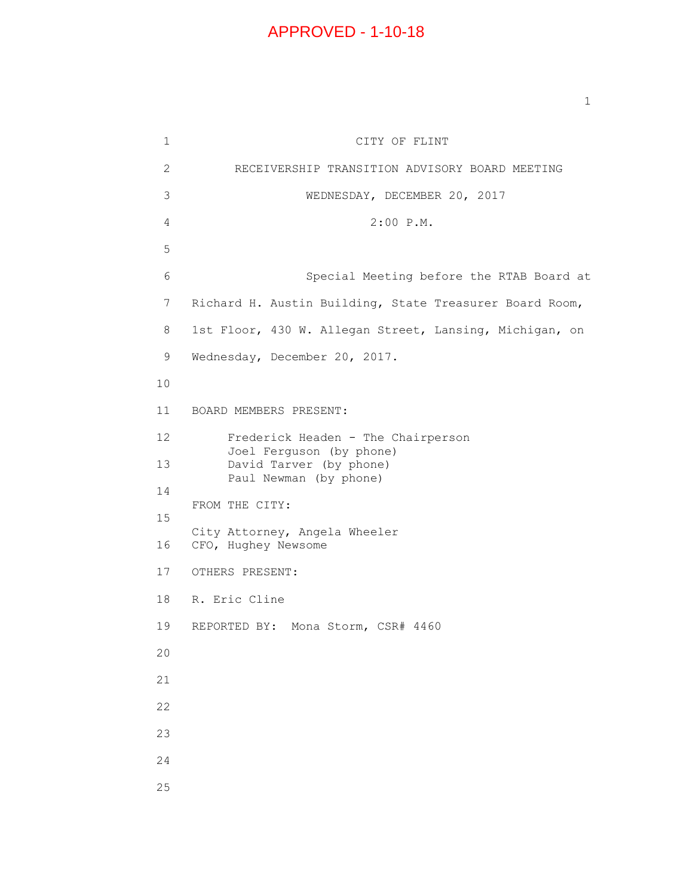## APPROVED - 1-10-18

5

10

14

15

20

21

22

23

24

25

1 CITY OF FLINT 2 RECEIVERSHIP TRANSITION ADVISORY BOARD MEETING 3 WEDNESDAY, DECEMBER 20, 2017 4 2:00 P.M. 6 Special Meeting before the RTAB Board at 7 Richard H. Austin Building, State Treasurer Board Room, 8 1st Floor, 430 W. Allegan Street, Lansing, Michigan, on 9 Wednesday, December 20, 2017. 11 BOARD MEMBERS PRESENT: 12 Frederick Headen - The Chairperson Joel Ferguson (by phone) 13 David Tarver (by phone) Paul Newman (by phone) FROM THE CITY: City Attorney, Angela Wheeler 16 CFO, Hughey Newsome 17 OTHERS PRESENT: 18 R. Eric Cline 19 REPORTED BY: Mona Storm, CSR# 4460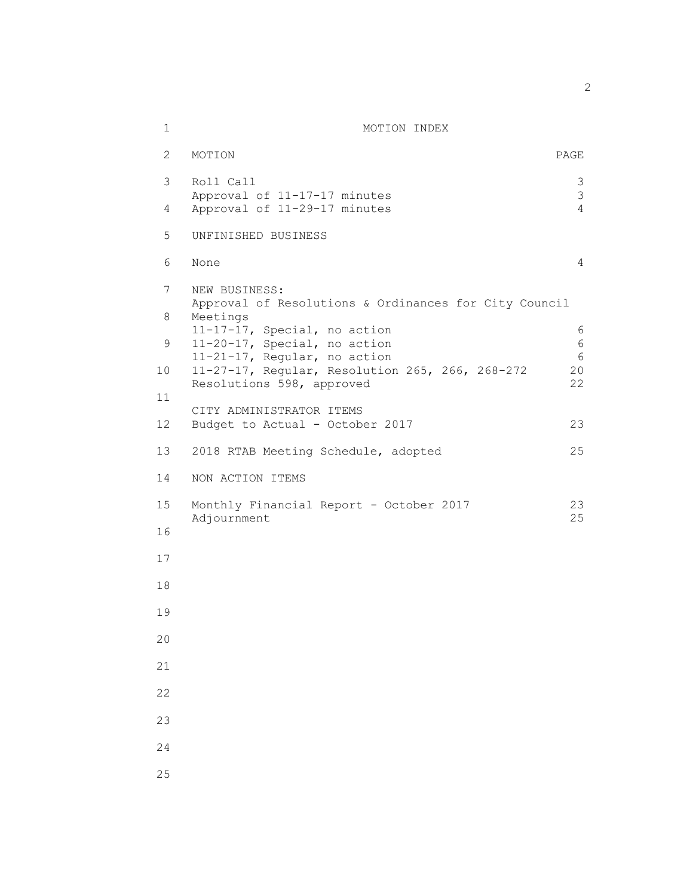| 1  | MOTION INDEX                                                                                                                                    |                                  |
|----|-------------------------------------------------------------------------------------------------------------------------------------------------|----------------------------------|
| 2  | MOTION                                                                                                                                          | PAGE                             |
| 3  | Roll Call                                                                                                                                       | $\mathfrak{Z}$                   |
| 4  | Approval of 11-17-17 minutes<br>Approval of 11-29-17 minutes                                                                                    | $\mathfrak{Z}$<br>$\overline{4}$ |
| 5  | UNFINISHED BUSINESS                                                                                                                             |                                  |
| 6  | None                                                                                                                                            | 4                                |
| 7  | NEW BUSINESS:                                                                                                                                   |                                  |
| 8  | Approval of Resolutions & Ordinances for City Council<br>Meetings                                                                               |                                  |
| 9  | 11-17-17, Special, no action<br>11-20-17, Special, no action<br>11-21-17, Regular, no action<br>11-27-17, Regular, Resolution 265, 266, 268-272 | 6<br>6                           |
| 10 |                                                                                                                                                 | 6<br>20                          |
| 11 | Resolutions 598, approved                                                                                                                       | 22                               |
| 12 | CITY ADMINISTRATOR ITEMS<br>Budget to Actual - October 2017                                                                                     | 23                               |
| 13 | 2018 RTAB Meeting Schedule, adopted                                                                                                             | 25                               |
| 14 | NON ACTION ITEMS                                                                                                                                |                                  |
| 15 | Monthly Financial Report - October 2017                                                                                                         | 23<br>25                         |
| 16 | Adjournment                                                                                                                                     |                                  |
| 17 |                                                                                                                                                 |                                  |
| 18 |                                                                                                                                                 |                                  |
| 19 |                                                                                                                                                 |                                  |
| 20 |                                                                                                                                                 |                                  |
| 21 |                                                                                                                                                 |                                  |
| 22 |                                                                                                                                                 |                                  |
| 23 |                                                                                                                                                 |                                  |
| 24 |                                                                                                                                                 |                                  |
| 25 |                                                                                                                                                 |                                  |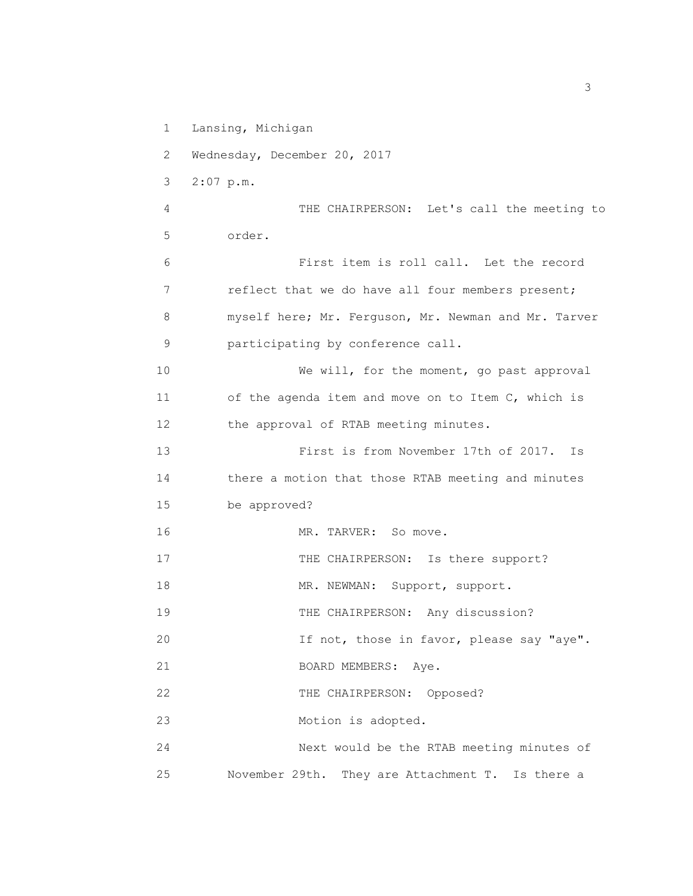1 Lansing, Michigan

2 Wednesday, December 20, 2017

3 2:07 p.m.

4 THE CHAIRPERSON: Let's call the meeting to 5 order.

6 First item is roll call. Let the record 7 reflect that we do have all four members present; 8 myself here; Mr. Ferguson, Mr. Newman and Mr. Tarver 9 participating by conference call.

10 We will, for the moment, go past approval 11 of the agenda item and move on to Item C, which is 12 the approval of RTAB meeting minutes.

13 First is from November 17th of 2017. Is 14 there a motion that those RTAB meeting and minutes 15 be approved?

16 MR. TARVER: So move.

17 THE CHAIRPERSON: Is there support?

18 MR. NEWMAN: Support, support.

19 THE CHAIRPERSON: Any discussion?

20 If not, those in favor, please say "aye".

21 BOARD MEMBERS: Aye.

22 THE CHAIRPERSON: Opposed?

23 Motion is adopted.

24 Next would be the RTAB meeting minutes of 25 November 29th. They are Attachment T. Is there a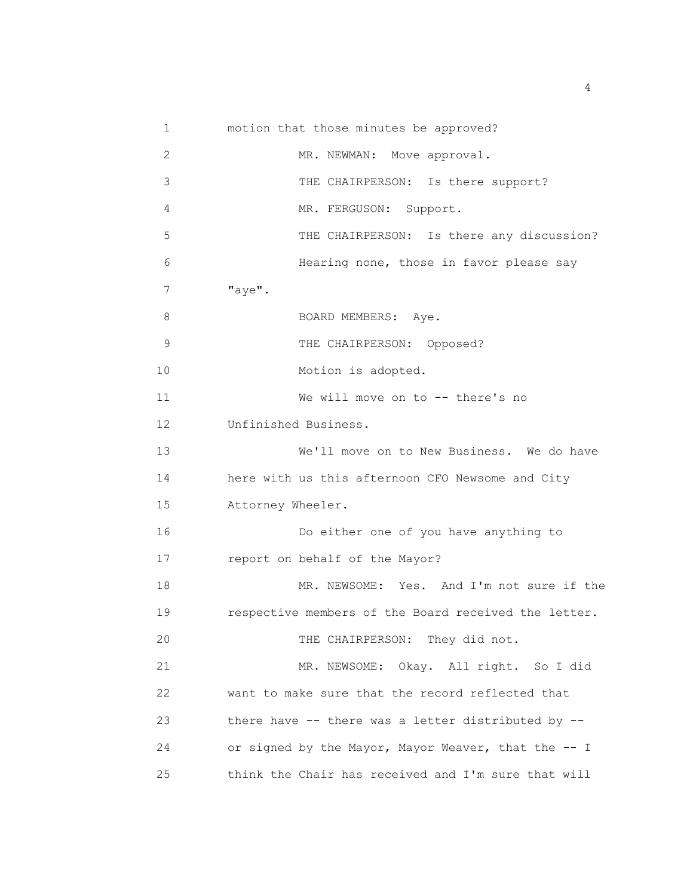1 motion that those minutes be approved? 2 3 4 5 6 7 "aye". 8 9 10 11 MR. NEWMAN: Move approval. THE CHAIRPERSON: Is there support? MR. FERGUSON: Support. THE CHAIRPERSON: Is there any discussion? Hearing none, those in favor please say BOARD MEMBERS: Aye. THE CHAIRPERSON: Opposed? Motion is adopted. We will move on to -- there's no 12 Unfinished Business. 13 We'll move on to New Business. We do have 14 here with us this afternoon CFO Newsome and City 15 Attorney Wheeler. 16 Do either one of you have anything to 17 report on behalf of the Mayor? 18 MR. NEWSOME: Yes. And I'm not sure if the 19 respective members of the Board received the letter. 20 THE CHAIRPERSON: They did not. 21 MR. NEWSOME: Okay. All right. So I did 22 want to make sure that the record reflected that 23 there have -- there was a letter distributed by -- 24 or signed by the Mayor, Mayor Weaver, that the -- I 25 think the Chair has received and I'm sure that will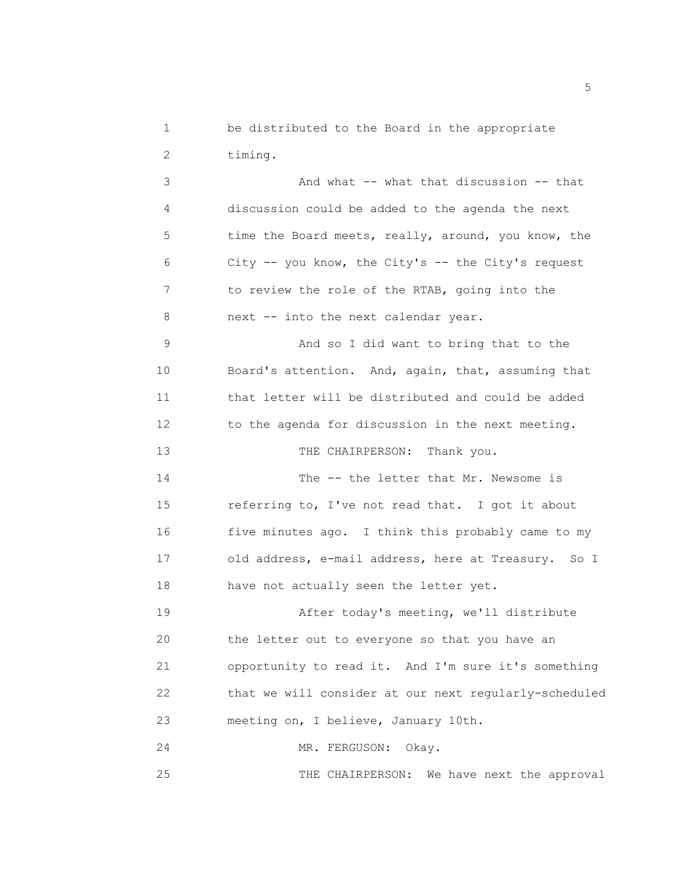1 be distributed to the Board in the appropriate 2 timing.

3 And what -- what that discussion -- that 4 discussion could be added to the agenda the next 5 time the Board meets, really, around, you know, the 6 City -- you know, the City's -- the City's request 7 to review the role of the RTAB, going into the 8 next -- into the next calendar year. 9 And so I did want to bring that to the 10 Board's attention. And, again, that, assuming that 11 that letter will be distributed and could be added 12 to the agenda for discussion in the next meeting. 13 THE CHAIRPERSON: Thank you. 14 The -- the letter that Mr. Newsome is 15 referring to, I've not read that. I got it about 16 five minutes ago. I think this probably came to my 17 old address, e-mail address, here at Treasury. So I 18 have not actually seen the letter yet. 19 After today's meeting, we'll distribute 20 the letter out to everyone so that you have an

21 opportunity to read it. And I'm sure it's something 22 that we will consider at our next regularly-scheduled 23 meeting on, I believe, January 10th.

24 MR. FERGUSON: Okay.

25 THE CHAIRPERSON: We have next the approval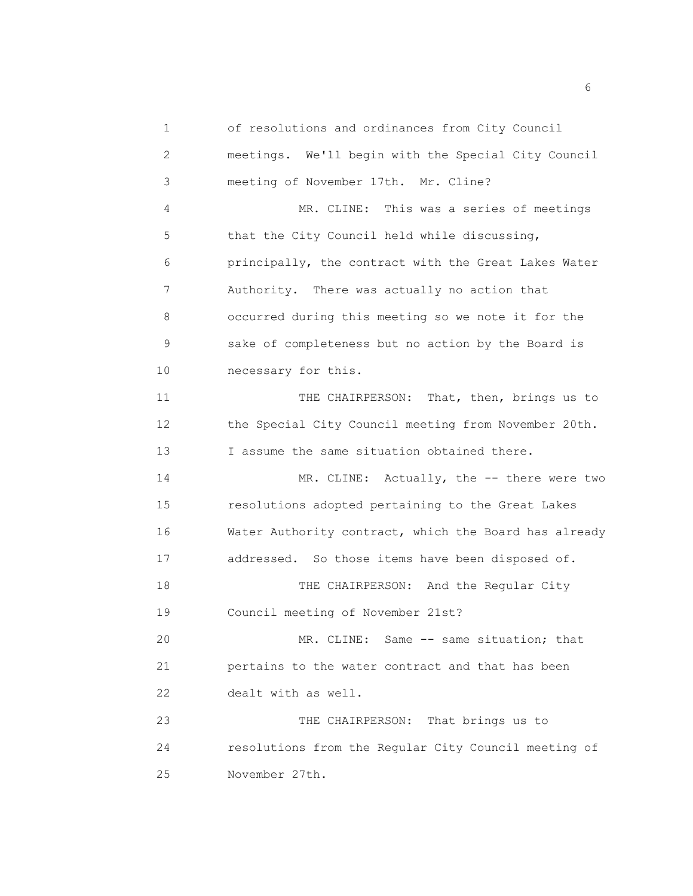1 of resolutions and ordinances from City Council 2 meetings. We'll begin with the Special City Council 3 meeting of November 17th. Mr. Cline? 4 MR. CLINE: This was a series of meetings 5 that the City Council held while discussing, 6 principally, the contract with the Great Lakes Water 7 Authority. There was actually no action that 8 occurred during this meeting so we note it for the 9 sake of completeness but no action by the Board is 10 necessary for this. 11 THE CHAIRPERSON: That, then, brings us to 12 the Special City Council meeting from November 20th. 13 I assume the same situation obtained there. 14 MR. CLINE: Actually, the -- there were two 15 resolutions adopted pertaining to the Great Lakes 16 Water Authority contract, which the Board has already 17 addressed. So those items have been disposed of. 18 THE CHAIRPERSON: And the Regular City 19 Council meeting of November 21st? 20 MR. CLINE: Same -- same situation; that 21 pertains to the water contract and that has been 22 dealt with as well. 23 THE CHAIRPERSON: That brings us to 24 resolutions from the Regular City Council meeting of 25 November 27th.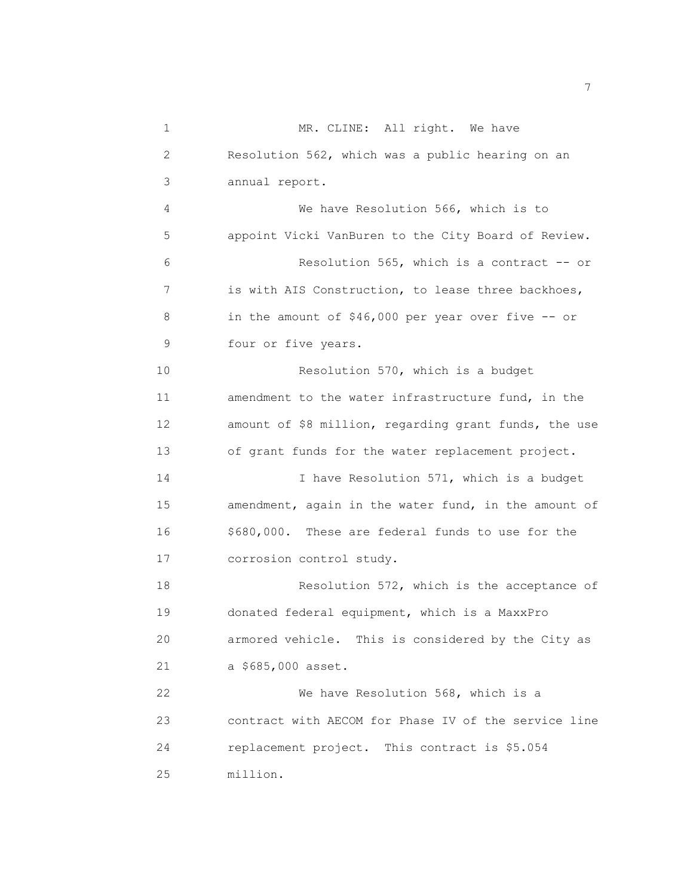| 1  | MR. CLINE: All right. We have                         |
|----|-------------------------------------------------------|
| 2  | Resolution 562, which was a public hearing on an      |
| 3  | annual report.                                        |
| 4  | We have Resolution 566, which is to                   |
| 5  | appoint Vicki VanBuren to the City Board of Review.   |
| 6  | Resolution 565, which is a contract -- or             |
| 7  | is with AIS Construction, to lease three backhoes,    |
| 8  | in the amount of \$46,000 per year over five -- or    |
| 9  | four or five years.                                   |
| 10 | Resolution 570, which is a budget                     |
| 11 | amendment to the water infrastructure fund, in the    |
| 12 | amount of \$8 million, regarding grant funds, the use |
| 13 | of grant funds for the water replacement project.     |
| 14 | I have Resolution 571, which is a budget              |
| 15 | amendment, again in the water fund, in the amount of  |
| 16 | \$680,000. These are federal funds to use for the     |
| 17 | corrosion control study.                              |
| 18 | Resolution 572, which is the acceptance of            |
| 19 | donated federal equipment, which is a MaxxPro         |
| 20 | armored vehicle. This is considered by the City as    |
| 21 | a \$685,000 asset.                                    |
| 22 | We have Resolution 568, which is a                    |
| 23 | contract with AECOM for Phase IV of the service line  |
| 24 | replacement project. This contract is \$5.054         |
| 25 | million.                                              |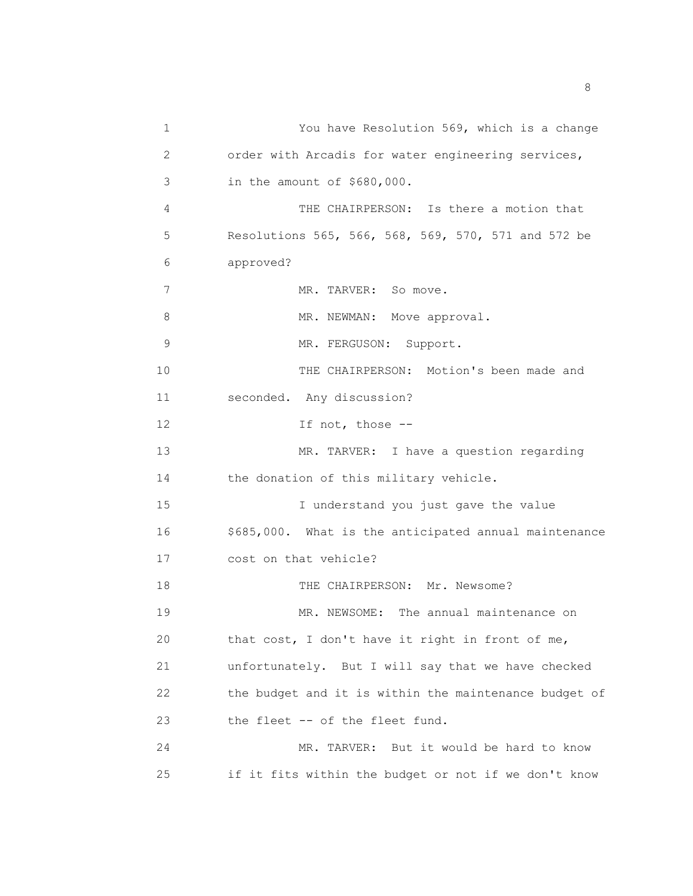1 You have Resolution 569, which is a change 2 order with Arcadis for water engineering services, 3 in the amount of \$680,000. 4 THE CHAIRPERSON: Is there a motion that 5 Resolutions 565, 566, 568, 569, 570, 571 and 572 be 6 approved? 7 MR. TARVER: So move. 8 MR. NEWMAN: Move approval. 9 MR. FERGUSON: Support. 10 THE CHAIRPERSON: Motion's been made and 11 seconded. Any discussion? 12 If not, those --13 MR. TARVER: I have a question regarding 14 the donation of this military vehicle. 15 I understand you just gave the value 16 \$685,000. What is the anticipated annual maintenance 17 cost on that vehicle? 18 THE CHAIRPERSON: Mr. Newsome? 19 MR. NEWSOME: The annual maintenance on 20 that cost, I don't have it right in front of me, 21 unfortunately. But I will say that we have checked 22 the budget and it is within the maintenance budget of 23 the fleet -- of the fleet fund. 24 MR. TARVER: But it would be hard to know 25 if it fits within the budget or not if we don't know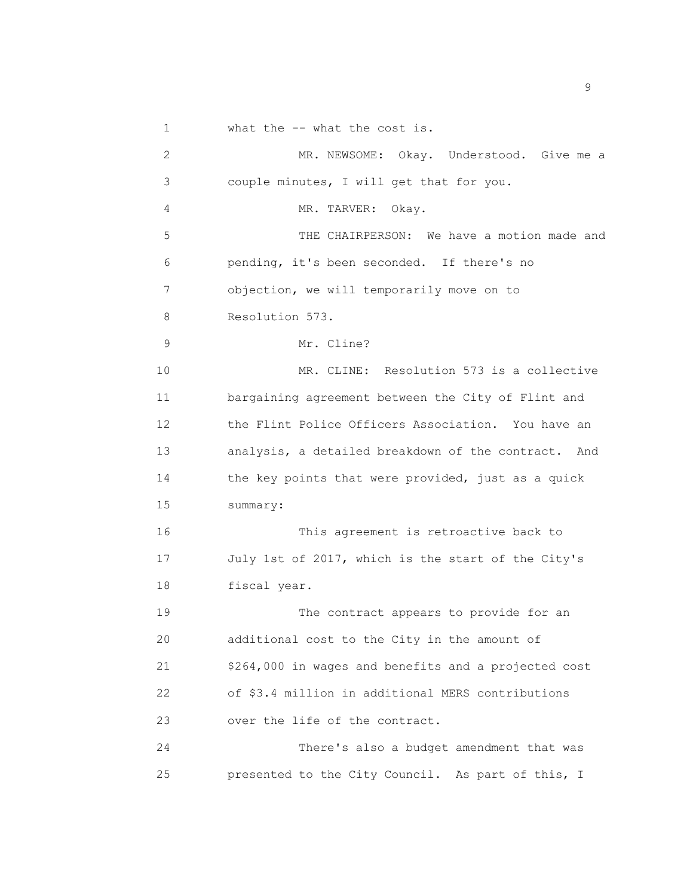1 what the -- what the cost is.

2 MR. NEWSOME: Okay. Understood. Give me a 3 couple minutes, I will get that for you. 4 MR. TARVER: Okay. 5 THE CHAIRPERSON: We have a motion made and 6 pending, it's been seconded. If there's no 7 objection, we will temporarily move on to 8 Resolution 573. 9 Mr. Cline? 10 MR. CLINE: Resolution 573 is a collective 11 bargaining agreement between the City of Flint and 12 the Flint Police Officers Association. You have an 13 analysis, a detailed breakdown of the contract. And 14 the key points that were provided, just as a quick 15 summary: 16 This agreement is retroactive back to 17 July 1st of 2017, which is the start of the City's 18 fiscal year. 19 The contract appears to provide for an 20 additional cost to the City in the amount of 21 \$264,000 in wages and benefits and a projected cost 22 of \$3.4 million in additional MERS contributions 23 over the life of the contract. 24 There's also a budget amendment that was 25 presented to the City Council. As part of this, I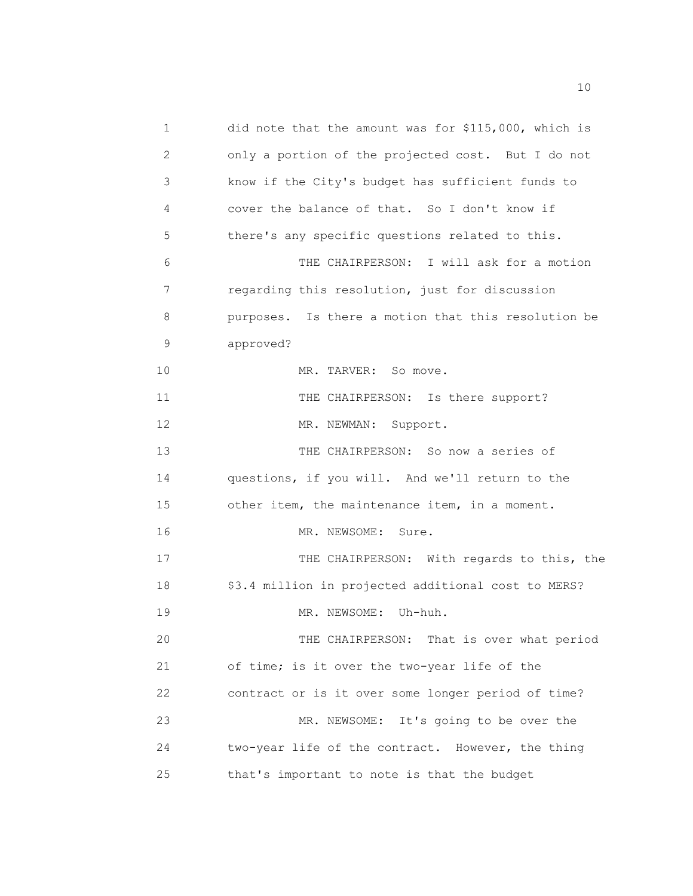1 did note that the amount was for \$115,000, which is 2 only a portion of the projected cost. But I do not 3 know if the City's budget has sufficient funds to 4 cover the balance of that. So I don't know if 5 there's any specific questions related to this. 6 THE CHAIRPERSON: I will ask for a motion 7 regarding this resolution, just for discussion 8 purposes. Is there a motion that this resolution be 9 approved? 10 MR. TARVER: So move. 11 THE CHAIRPERSON: Is there support? 12 MR. NEWMAN: Support. 13 THE CHAIRPERSON: So now a series of 14 questions, if you will. And we'll return to the 15 other item, the maintenance item, in a moment. 16 MR. NEWSOME: Sure. 17 THE CHAIRPERSON: With regards to this, the 18 \$3.4 million in projected additional cost to MERS? 19 MR. NEWSOME: Uh-huh. 20 THE CHAIRPERSON: That is over what period 21 of time; is it over the two-year life of the 22 contract or is it over some longer period of time? 23 MR. NEWSOME: It's going to be over the 24 two-year life of the contract. However, the thing 25 that's important to note is that the budget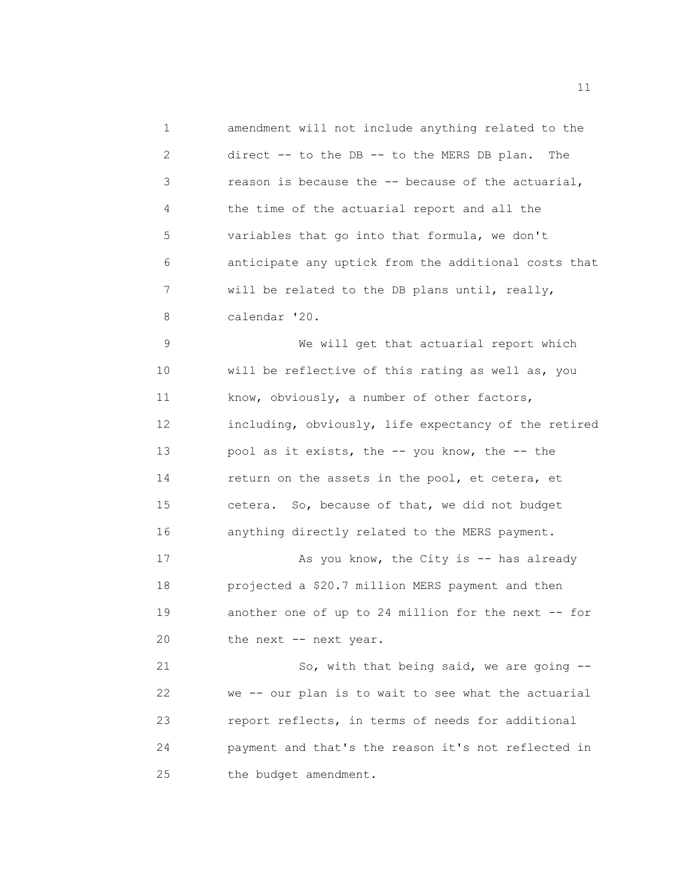1 amendment will not include anything related to the 2 direct -- to the DB -- to the MERS DB plan. The 3 reason is because the -- because of the actuarial, 4 the time of the actuarial report and all the 5 variables that go into that formula, we don't 6 anticipate any uptick from the additional costs that 7 will be related to the DB plans until, really, 8 calendar '20. 9 We will get that actuarial report which 10 will be reflective of this rating as well as, you 11 know, obviously, a number of other factors, 12 including, obviously, life expectancy of the retired 13 pool as it exists, the -- you know, the -- the 14 return on the assets in the pool, et cetera, et 15 cetera. So, because of that, we did not budget 16 anything directly related to the MERS payment. 17 As you know, the City is -- has already 18 projected a \$20.7 million MERS payment and then 19 another one of up to 24 million for the next -- for 20 the next -- next year. 21 So, with that being said, we are going -- 22 we -- our plan is to wait to see what the actuarial 23 report reflects, in terms of needs for additional 24 payment and that's the reason it's not reflected in 25 the budget amendment.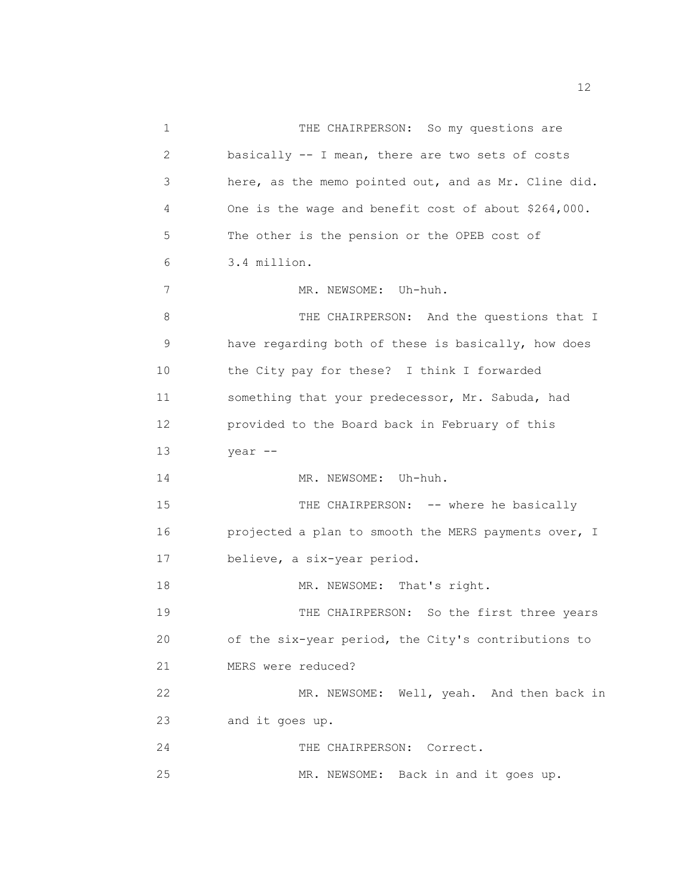| 1  | THE CHAIRPERSON: So my questions are                 |
|----|------------------------------------------------------|
| 2  | basically -- I mean, there are two sets of costs     |
| 3  | here, as the memo pointed out, and as Mr. Cline did. |
| 4  | One is the wage and benefit cost of about \$264,000. |
| 5  | The other is the pension or the OPEB cost of         |
| 6  | 3.4 million.                                         |
| 7  | MR. NEWSOME: Uh-huh.                                 |
| 8  | THE CHAIRPERSON: And the questions that I            |
| 9  | have regarding both of these is basically, how does  |
| 10 | the City pay for these? I think I forwarded          |
| 11 | something that your predecessor, Mr. Sabuda, had     |
| 12 | provided to the Board back in February of this       |
| 13 | year --                                              |
| 14 | MR. NEWSOME: Uh-huh.                                 |
| 15 | THE CHAIRPERSON: -- where he basically               |
| 16 | projected a plan to smooth the MERS payments over, I |
| 17 | believe, a six-year period.                          |
| 18 | MR. NEWSOME: That's right.                           |
| 19 | THE CHAIRPERSON: So the first three years            |
| 20 | of the six-year period, the City's contributions to  |
| 21 | MERS were reduced?                                   |
| 22 | MR. NEWSOME: Well, yeah. And then back in            |
| 23 | and it goes up.                                      |
| 24 | THE CHAIRPERSON: Correct.                            |

25 MR. NEWSOME: Back in and it goes up.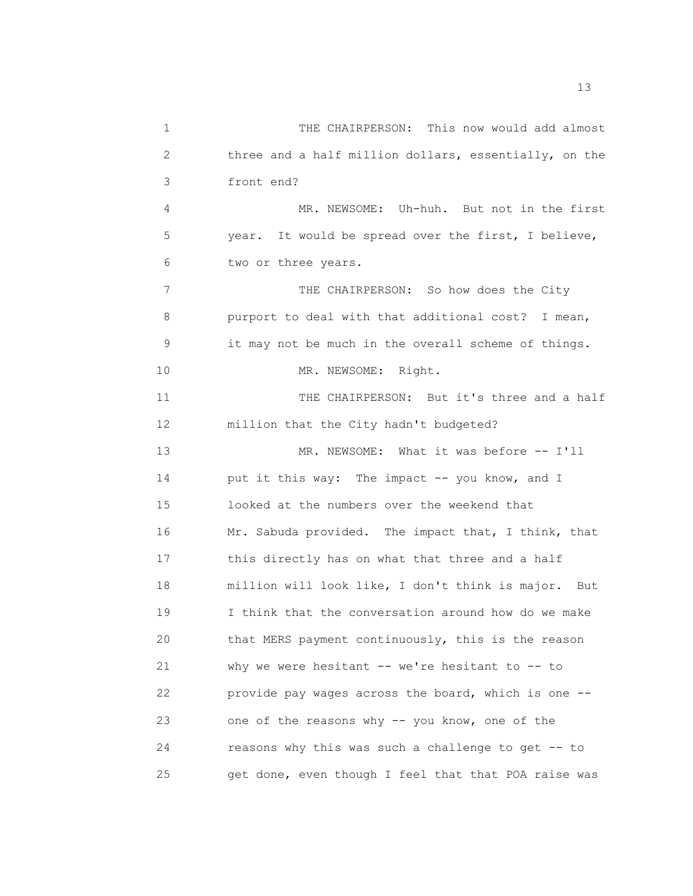1 THE CHAIRPERSON: This now would add almost 2 three and a half million dollars, essentially, on the 3 front end? 4 MR. NEWSOME: Uh-huh. But not in the first 5 year. It would be spread over the first, I believe, 6 two or three years. 7 THE CHAIRPERSON: So how does the City 8 purport to deal with that additional cost? I mean, 9 it may not be much in the overall scheme of things. 10 MR. NEWSOME: Right. 11 THE CHAIRPERSON: But it's three and a half 12 million that the City hadn't budgeted? 13 MR. NEWSOME: What it was before -- I'll 14 put it this way: The impact -- you know, and I 15 looked at the numbers over the weekend that 16 Mr. Sabuda provided. The impact that, I think, that 17 this directly has on what that three and a half 18 million will look like, I don't think is major. But 19 I think that the conversation around how do we make 20 that MERS payment continuously, this is the reason 21 why we were hesitant -- we're hesitant to -- to 22 provide pay wages across the board, which is one -- 23 one of the reasons why -- you know, one of the 24 reasons why this was such a challenge to get -- to 25 get done, even though I feel that that POA raise was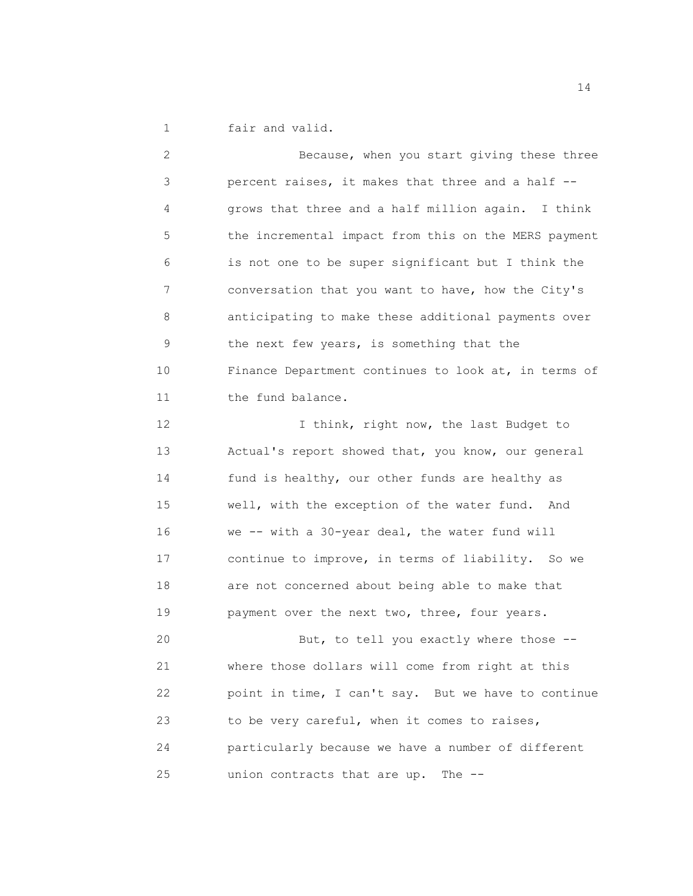1 fair and valid.

2 Because, when you start giving these three 3 percent raises, it makes that three and a half -- 4 grows that three and a half million again. I think 5 the incremental impact from this on the MERS payment 6 is not one to be super significant but I think the 7 conversation that you want to have, how the City's 8 anticipating to make these additional payments over 9 the next few years, is something that the 10 Finance Department continues to look at, in terms of 11 the fund balance. 12 I think, right now, the last Budget to 13 Actual's report showed that, you know, our general 14 fund is healthy, our other funds are healthy as 15 well, with the exception of the water fund. And 16 we -- with a 30-year deal, the water fund will 17 continue to improve, in terms of liability. So we 18 are not concerned about being able to make that 19 payment over the next two, three, four years.

20 But, to tell you exactly where those -- 21 where those dollars will come from right at this 22 point in time, I can't say. But we have to continue 23 to be very careful, when it comes to raises, 24 particularly because we have a number of different 25 union contracts that are up. The --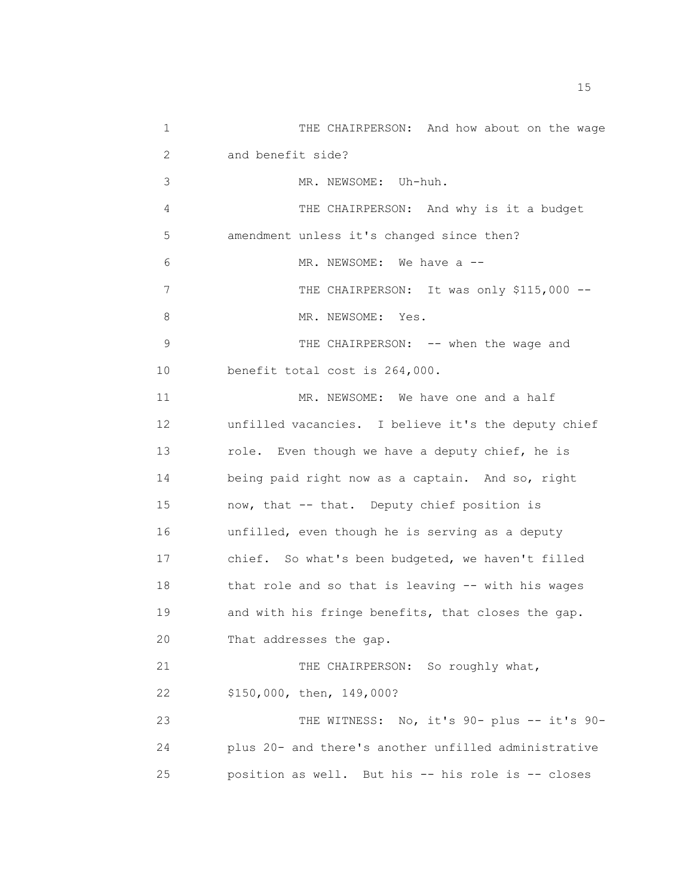1 THE CHAIRPERSON: And how about on the wage 2 and benefit side? 3 MR. NEWSOME: Uh-huh. 4 THE CHAIRPERSON: And why is it a budget 5 amendment unless it's changed since then? 6 MR. NEWSOME: We have a  $-$ 7 THE CHAIRPERSON: It was only \$115,000 --8 MR. NEWSOME: Yes. 9 THE CHAIRPERSON: -- when the wage and 10 benefit total cost is 264,000. 11 MR. NEWSOME: We have one and a half 12 unfilled vacancies. I believe it's the deputy chief 13 role. Even though we have a deputy chief, he is 14 being paid right now as a captain. And so, right 15 now, that -- that. Deputy chief position is 16 unfilled, even though he is serving as a deputy 17 chief. So what's been budgeted, we haven't filled 18 that role and so that is leaving -- with his wages 19 and with his fringe benefits, that closes the gap. 20 That addresses the gap. 21 THE CHAIRPERSON: So roughly what, 22 \$150,000, then, 149,000? 23 THE WITNESS: No, it's 90- plus -- it's 90- 24 plus 20- and there's another unfilled administrative 25 position as well. But his -- his role is -- closes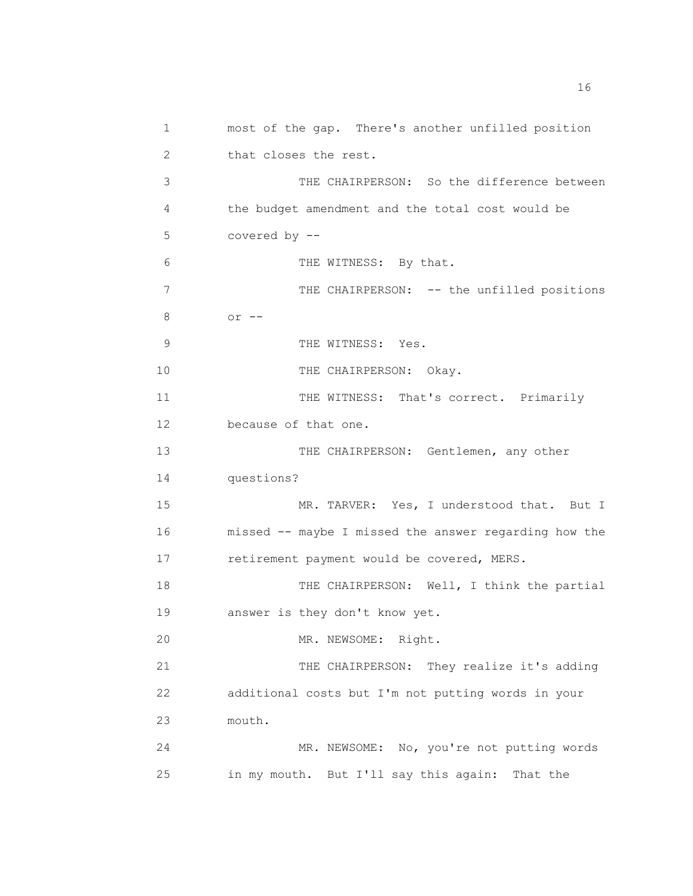1 most of the gap. There's another unfilled position 2 that closes the rest. 3 THE CHAIRPERSON: So the difference between 4 the budget amendment and the total cost would be 5 covered by -- 6 THE WITNESS: By that. 7 THE CHAIRPERSON: -- the unfilled positions 8 or -- 9 THE WITNESS: Yes. 10 THE CHAIRPERSON: Okay. 11 THE WITNESS: That's correct. Primarily 12 because of that one. 13 THE CHAIRPERSON: Gentlemen, any other 14 questions? 15 MR. TARVER: Yes, I understood that. But I 16 missed -- maybe I missed the answer regarding how the 17 retirement payment would be covered, MERS. 18 THE CHAIRPERSON: Well, I think the partial 19 answer is they don't know yet. 20 MR. NEWSOME: Right. 21 THE CHAIRPERSON: They realize it's adding 22 additional costs but I'm not putting words in your 23 mouth. 24 MR. NEWSOME: No, you're not putting words 25 in my mouth. But I'll say this again: That the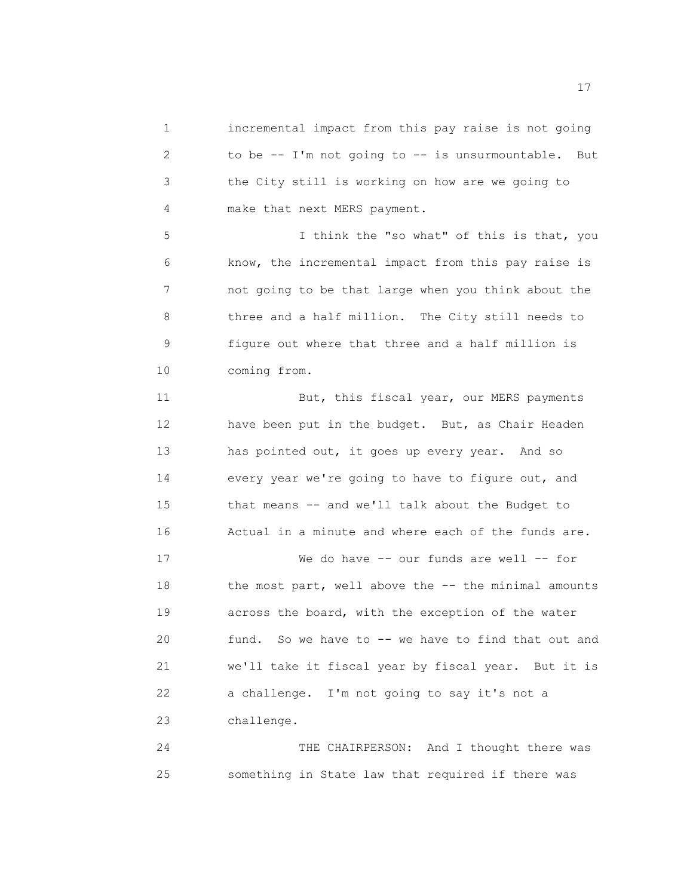1 incremental impact from this pay raise is not going 2 to be -- I'm not going to -- is unsurmountable. But 3 the City still is working on how are we going to 4 make that next MERS payment.

5 I think the "so what" of this is that, you 6 know, the incremental impact from this pay raise is 7 not going to be that large when you think about the 8 three and a half million. The City still needs to 9 figure out where that three and a half million is 10 coming from.

11 But, this fiscal year, our MERS payments 12 have been put in the budget. But, as Chair Headen 13 has pointed out, it goes up every year. And so 14 every year we're going to have to figure out, and 15 that means -- and we'll talk about the Budget to 16 Actual in a minute and where each of the funds are.

17 We do have -- our funds are well -- for 18 the most part, well above the -- the minimal amounts 19 across the board, with the exception of the water 20 fund. So we have to -- we have to find that out and 21 we'll take it fiscal year by fiscal year. But it is 22 a challenge. I'm not going to say it's not a 23 challenge.

24 THE CHAIRPERSON: And I thought there was 25 something in State law that required if there was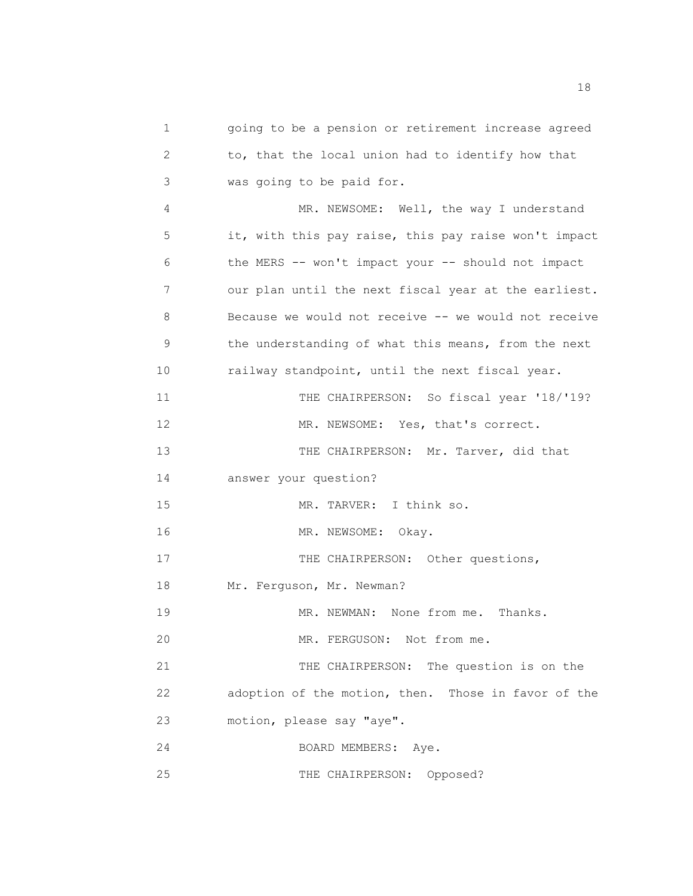1 going to be a pension or retirement increase agreed 2 to, that the local union had to identify how that 3 was going to be paid for. 4 MR. NEWSOME: Well, the way I understand 5 it, with this pay raise, this pay raise won't impact 6 the MERS -- won't impact your -- should not impact 7 our plan until the next fiscal year at the earliest. 8 Because we would not receive -- we would not receive 9 the understanding of what this means, from the next 10 railway standpoint, until the next fiscal year. 11 THE CHAIRPERSON: So fiscal year '18/'19? 12 MR. NEWSOME: Yes, that's correct. 13 THE CHAIRPERSON: Mr. Tarver, did that 14 answer your question? 15 MR. TARVER: I think so. 16 MR. NEWSOME: Okay. 17 THE CHAIRPERSON: Other questions, 18 Mr. Ferguson, Mr. Newman? 19 MR. NEWMAN: None from me. Thanks. 20 MR. FERGUSON: Not from me. 21 THE CHAIRPERSON: The question is on the 22 adoption of the motion, then. Those in favor of the 23 motion, please say "aye". 24 BOARD MEMBERS: Aye. 25 THE CHAIRPERSON: Opposed?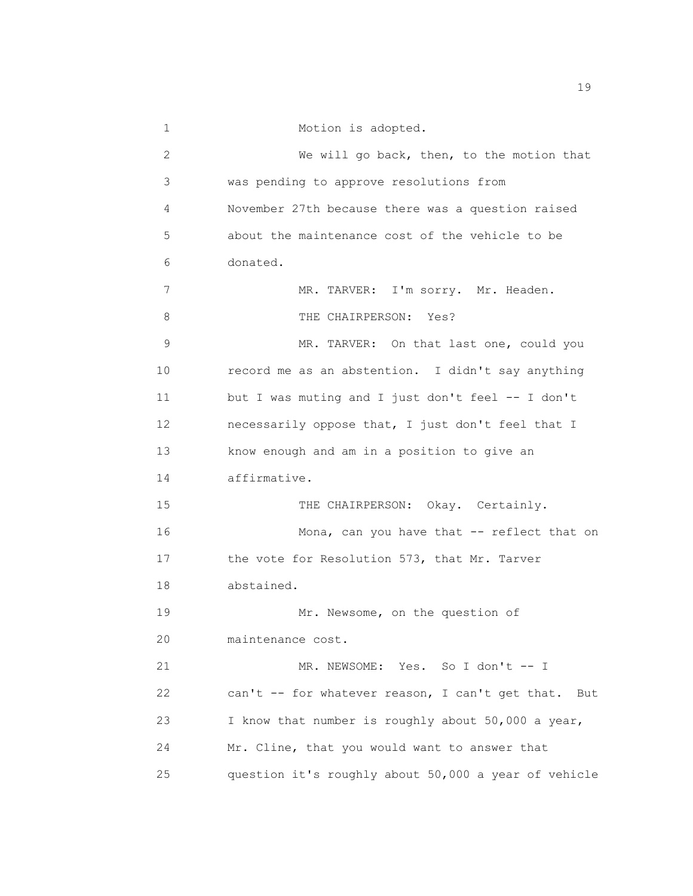| 1  | Motion is adopted.                                     |
|----|--------------------------------------------------------|
| 2  | We will go back, then, to the motion that              |
| 3  | was pending to approve resolutions from                |
| 4  | November 27th because there was a question raised      |
| 5  | about the maintenance cost of the vehicle to be        |
| 6  | donated.                                               |
| 7  | MR. TARVER: I'm sorry. Mr. Headen.                     |
| 8  | THE CHAIRPERSON:<br>Yes?                               |
| 9  | MR. TARVER: On that last one, could you                |
| 10 | record me as an abstention. I didn't say anything      |
| 11 | but I was muting and I just don't feel -- I don't      |
| 12 | necessarily oppose that, I just don't feel that I      |
| 13 | know enough and am in a position to give an            |
| 14 | affirmative.                                           |
| 15 | THE CHAIRPERSON: Okay. Certainly.                      |
| 16 | Mona, can you have that -- reflect that on             |
| 17 | the vote for Resolution 573, that Mr. Tarver           |
| 18 | abstained.                                             |
| 19 | Mr. Newsome, on the question of                        |
| 20 | maintenance cost.                                      |
| 21 | MR. NEWSOME: Yes. So I don't -- I                      |
| 22 | can't -- for whatever reason, I can't get that.<br>But |
| 23 | I know that number is roughly about 50,000 a year,     |
| 24 | Mr. Cline, that you would want to answer that          |
| 25 | question it's roughly about 50,000 a year of vehicle   |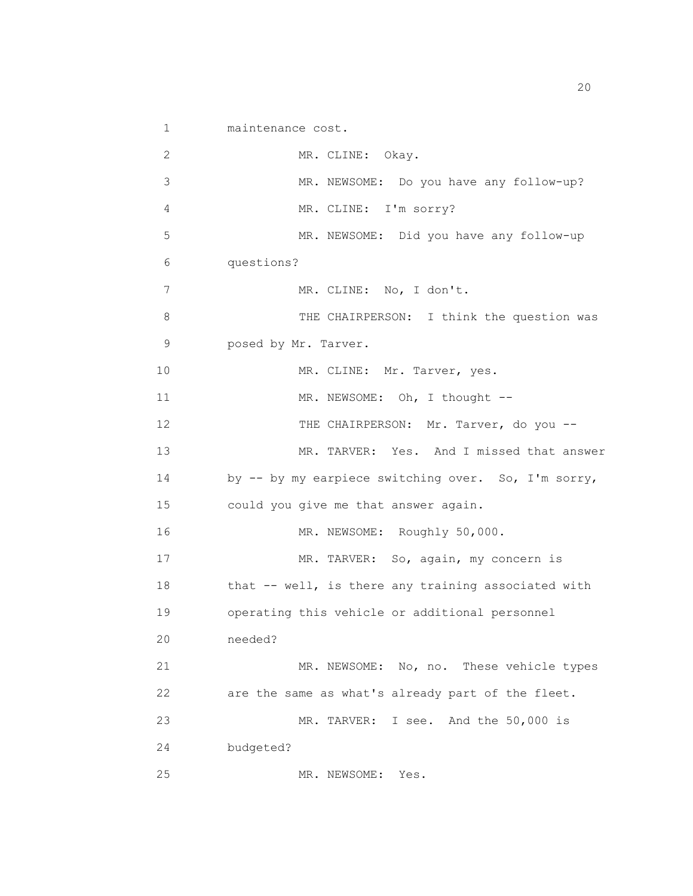1 maintenance cost. 2 MR. CLINE: Okay. 3 MR. NEWSOME: Do you have any follow-up? 4 MR. CLINE: I'm sorry? 5 MR. NEWSOME: Did you have any follow-up 6 questions? 7 MR. CLINE: No, I don't. 8 THE CHAIRPERSON: I think the question was 9 posed by Mr. Tarver. 10 MR. CLINE: Mr. Tarver, yes. 11 MR. NEWSOME: Oh, I thought --12 THE CHAIRPERSON: Mr. Tarver, do you --13 MR. TARVER: Yes. And I missed that answer 14 by -- by my earpiece switching over. So, I'm sorry, 15 could you give me that answer again. 16 MR. NEWSOME: Roughly 50,000. 17 MR. TARVER: So, again, my concern is 18 that -- well, is there any training associated with 19 operating this vehicle or additional personnel 20 needed? 21 MR. NEWSOME: No, no. These vehicle types 22 are the same as what's already part of the fleet. 23 MR. TARVER: I see. And the 50,000 is 24 budgeted? 25 MR. NEWSOME: Yes.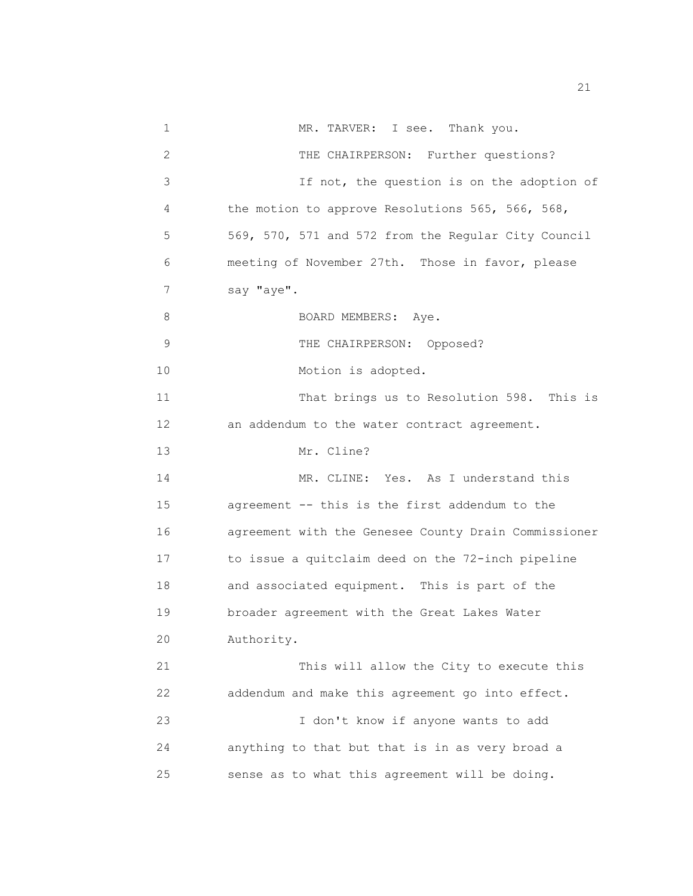1 MR. TARVER: I see. Thank you. 2 THE CHAIRPERSON: Further questions? 3 If not, the question is on the adoption of 4 the motion to approve Resolutions 565, 566, 568, 5 569, 570, 571 and 572 from the Regular City Council 6 meeting of November 27th. Those in favor, please 7 say "aye". 8 BOARD MEMBERS: Aye. 9 THE CHAIRPERSON: Opposed? 10 Motion is adopted. 11 That brings us to Resolution 598. This is 12 an addendum to the water contract agreement. 13 Mr. Cline? 14 MR. CLINE: Yes. As I understand this 15 agreement -- this is the first addendum to the 16 agreement with the Genesee County Drain Commissioner 17 to issue a quitclaim deed on the 72-inch pipeline 18 and associated equipment. This is part of the 19 broader agreement with the Great Lakes Water 20 Authority. 21 This will allow the City to execute this 22 addendum and make this agreement go into effect. 23 I don't know if anyone wants to add 24 anything to that but that is in as very broad a 25 sense as to what this agreement will be doing.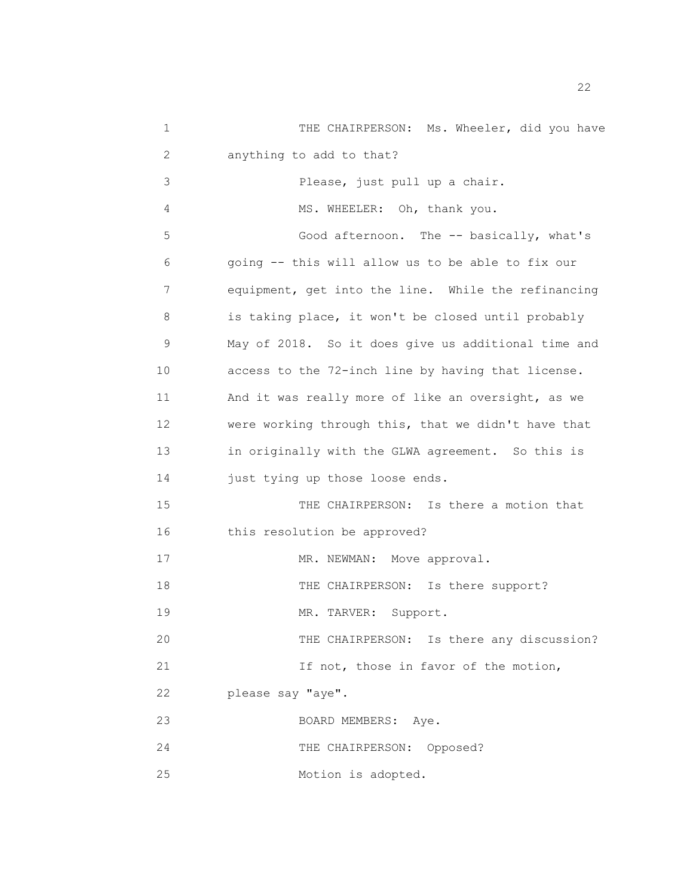1 THE CHAIRPERSON: Ms. Wheeler, did you have 2 anything to add to that? 3 Please, just pull up a chair. 4 MS. WHEELER: Oh, thank you. 5 Good afternoon. The -- basically, what's 6 going -- this will allow us to be able to fix our 7 equipment, get into the line. While the refinancing 8 is taking place, it won't be closed until probably 9 May of 2018. So it does give us additional time and 10 access to the 72-inch line by having that license. 11 And it was really more of like an oversight, as we 12 were working through this, that we didn't have that 13 in originally with the GLWA agreement. So this is 14 just tying up those loose ends. 15 THE CHAIRPERSON: Is there a motion that 16 this resolution be approved? 17 MR. NEWMAN: Move approval. 18 THE CHAIRPERSON: Is there support? 19 MR. TARVER: Support. 20 THE CHAIRPERSON: Is there any discussion? 21 1f not, those in favor of the motion, 22 please say "aye". 23 BOARD MEMBERS: Aye. 24 THE CHAIRPERSON: Opposed? 25 Motion is adopted.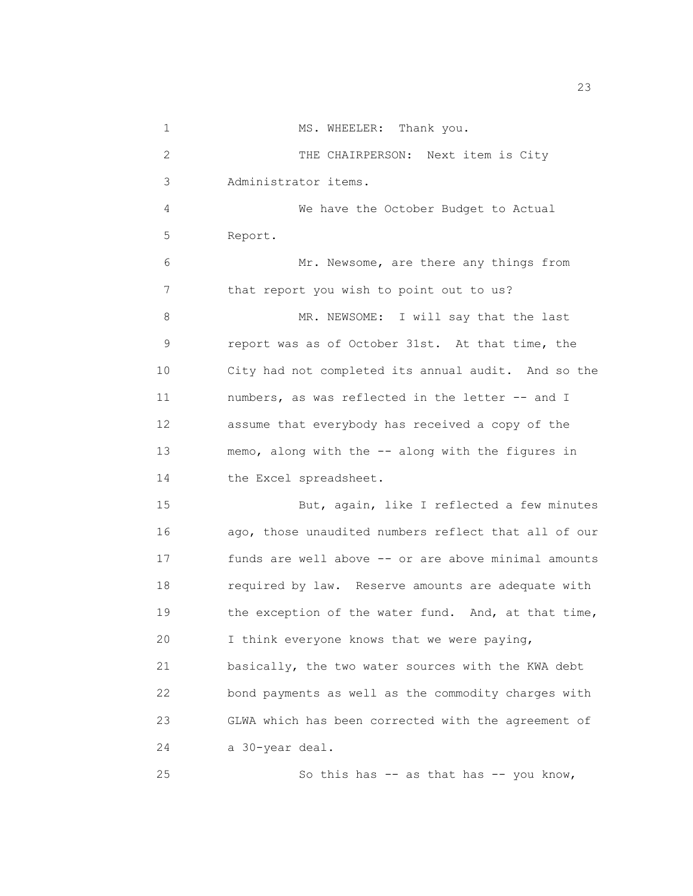1 MS. WHEELER: Thank you. 2 THE CHAIRPERSON: Next item is City 3 Administrator items. 4 We have the October Budget to Actual 5 Report. 6 Mr. Newsome, are there any things from 7 that report you wish to point out to us? 8 MR. NEWSOME: I will say that the last 9 report was as of October 31st. At that time, the 10 City had not completed its annual audit. And so the 11 numbers, as was reflected in the letter -- and I 12 assume that everybody has received a copy of the 13 memo, along with the -- along with the figures in 14 the Excel spreadsheet. 15 But, again, like I reflected a few minutes 16 ago, those unaudited numbers reflect that all of our 17 funds are well above -- or are above minimal amounts 18 required by law. Reserve amounts are adequate with 19 the exception of the water fund. And, at that time, 20 I think everyone knows that we were paying, 21 basically, the two water sources with the KWA debt 22 bond payments as well as the commodity charges with 23 GLWA which has been corrected with the agreement of 24 a 30-year deal. 25 So this has -- as that has -- you know,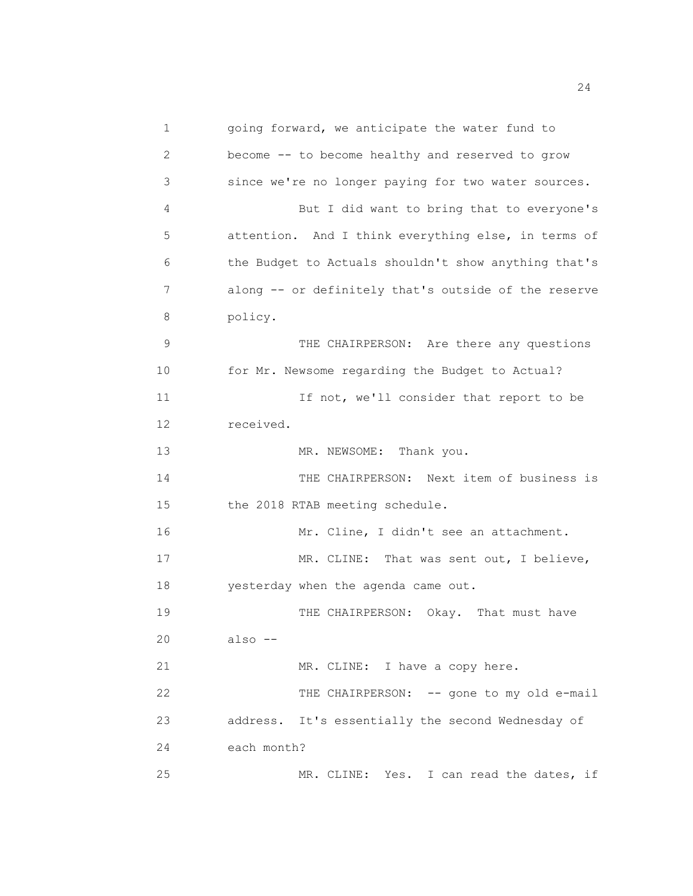1 going forward, we anticipate the water fund to 2 become -- to become healthy and reserved to grow 3 since we're no longer paying for two water sources. 4 But I did want to bring that to everyone's 5 attention. And I think everything else, in terms of 6 the Budget to Actuals shouldn't show anything that's 7 along -- or definitely that's outside of the reserve 8 policy. 9 THE CHAIRPERSON: Are there any questions 10 for Mr. Newsome regarding the Budget to Actual? 11 11 If not, we'll consider that report to be 12 received. 13 MR. NEWSOME: Thank you. 14 THE CHAIRPERSON: Next item of business is 15 the 2018 RTAB meeting schedule. 16 Mr. Cline, I didn't see an attachment. 17 MR. CLINE: That was sent out, I believe, 18 yesterday when the agenda came out. 19 20 also -- 21 22 23 address. It's essentially the second Wednesday of THE CHAIRPERSON: Okay. That must have MR. CLINE: I have a copy here. THE CHAIRPERSON: -- gone to my old e-mail 24 each month? 25 MR. CLINE: Yes. I can read the dates, if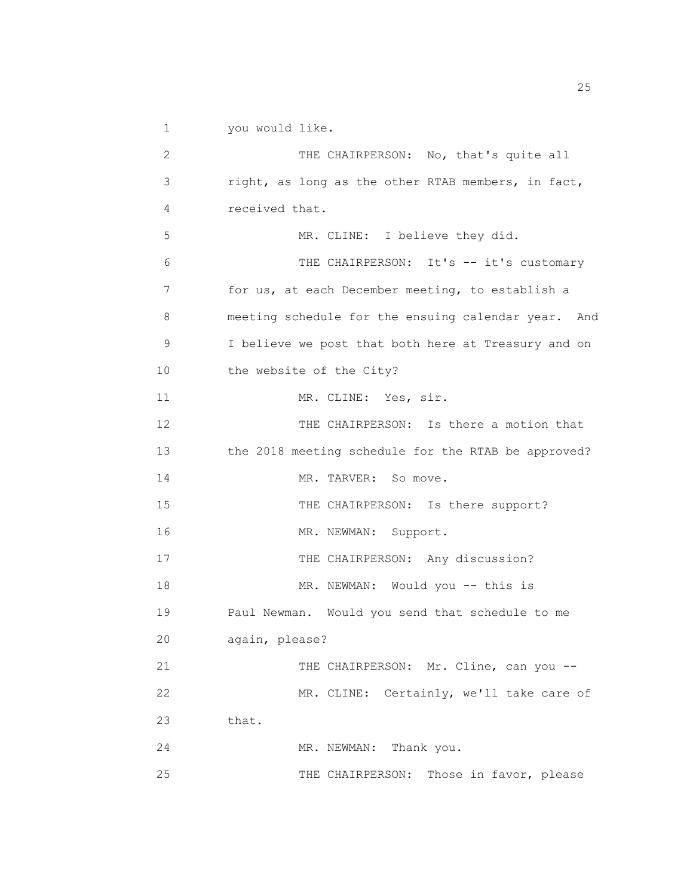1 you would like.

| 2  | THE CHAIRPERSON: No, that's quite all               |
|----|-----------------------------------------------------|
| 3  | right, as long as the other RTAB members, in fact,  |
| 4  | received that.                                      |
| 5  | MR. CLINE: I believe they did.                      |
| 6  | THE CHAIRPERSON: It's -- it's customary             |
| 7  | for us, at each December meeting, to establish a    |
| 8  | meeting schedule for the ensuing calendar year. And |
| 9  | I believe we post that both here at Treasury and on |
| 10 | the website of the City?                            |
| 11 | MR. CLINE: Yes, sir.                                |
| 12 | THE CHAIRPERSON: Is there a motion that             |
| 13 | the 2018 meeting schedule for the RTAB be approved? |
| 14 | MR. TARVER: So move.                                |
| 15 | THE CHAIRPERSON: Is there support?                  |
| 16 | MR. NEWMAN: Support.                                |
| 17 | THE CHAIRPERSON: Any discussion?                    |
| 18 | MR. NEWMAN: Would you -- this is                    |
| 19 | Paul Newman. Would you send that schedule to me     |
| 20 | again, please?                                      |
| 21 | THE CHAIRPERSON: Mr. Cline, can you --              |
| 22 | MR. CLINE: Certainly, we'll take care of            |
| 23 | that.                                               |
| 24 | MR. NEWMAN: Thank you.                              |
| 25 | Those in favor, please<br>THE CHAIRPERSON:          |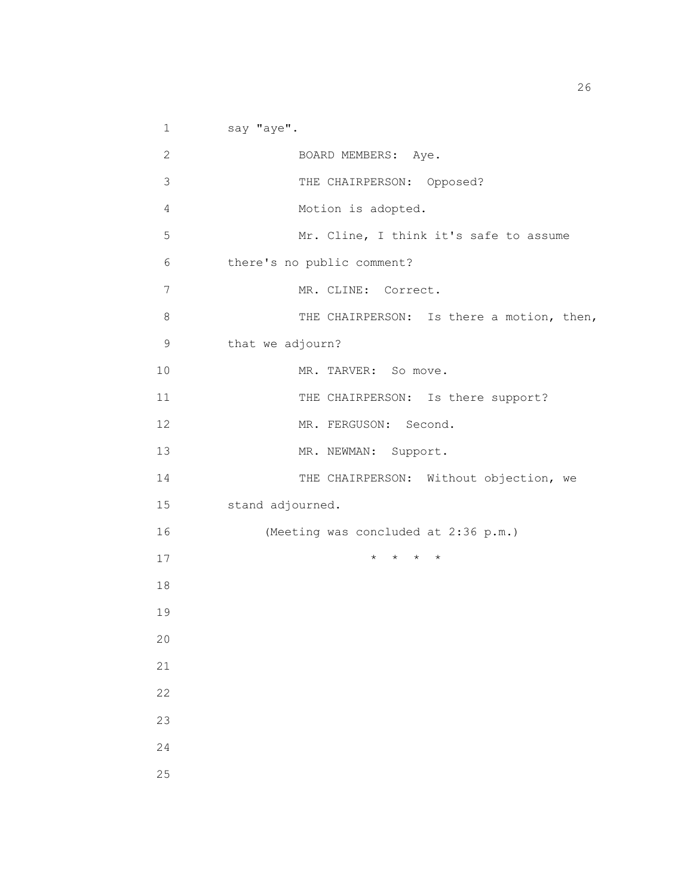1 say "aye". 2 BOARD MEMBERS: Aye. 3 THE CHAIRPERSON: Opposed? 4 Motion is adopted. 5 Mr. Cline, I think it's safe to assume 6 there's no public comment? 7 MR. CLINE: Correct. 8 THE CHAIRPERSON: Is there a motion, then, 9 that we adjourn? 10 MR. TARVER: So move. 11 THE CHAIRPERSON: Is there support? 12 MR. FERGUSON: Second. 13 MR. NEWMAN: Support. 14 THE CHAIRPERSON: Without objection, we 15 stand adjourned. 16 (Meeting was concluded at 2:36 p.m.) 17  $\qquad \qquad \star \quad \star \quad \star \quad \star$ 18 19 20 21 22 23 24 25